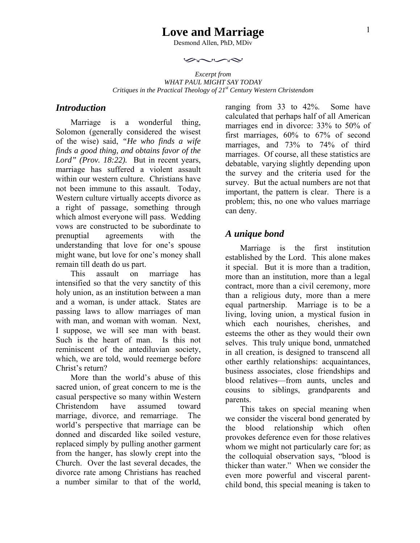# **Love and Marriage**

Desmond Allen, PhD, MDiv

 $rac{1}{2}$ 

*Excerpt from WHAT PAUL MIGHT SAY TODAY Critiques in the Practical Theology of 21st Century Western Christendom* 

#### *Introduction*

Marriage is a wonderful thing, Solomon (generally considered the wisest of the wise) said, *"He who finds a wife finds a good thing, and obtains favor of the Lord" (Prov. 18:22).* But in recent years, marriage has suffered a violent assault within our western culture. Christians have not been immune to this assault. Today, Western culture virtually accepts divorce as a right of passage, something through which almost everyone will pass. Wedding vows are constructed to be subordinate to prenuptial agreements with the understanding that love for one's spouse might wane, but love for one's money shall remain till death do us part.

This assault on marriage has intensified so that the very sanctity of this holy union, as an institution between a man and a woman, is under attack. States are passing laws to allow marriages of man with man, and woman with woman. Next, I suppose, we will see man with beast. Such is the heart of man. Is this not reminiscent of the antediluvian society, which, we are told, would reemerge before Christ's return?

More than the world's abuse of this sacred union, of great concern to me is the casual perspective so many within Western Christendom have assumed toward marriage, divorce, and remarriage. The world's perspective that marriage can be donned and discarded like soiled vesture, replaced simply by pulling another garment from the hanger, has slowly crept into the Church. Over the last several decades, the divorce rate among Christians has reached a number similar to that of the world,

ranging from 33 to 42%. Some have calculated that perhaps half of all American marriages end in divorce: 33% to 50% of first marriages, 60% to 67% of second marriages, and 73% to 74% of third marriages. Of course, all these statistics are debatable, varying slightly depending upon the survey and the criteria used for the survey. But the actual numbers are not that important, the pattern is clear. There is a problem; this, no one who values marriage can deny.

#### *A unique bond*

Marriage is the first institution established by the Lord. This alone makes it special. But it is more than a tradition, more than an institution, more than a legal contract, more than a civil ceremony, more than a religious duty, more than a mere equal partnership. Marriage is to be a living, loving union, a mystical fusion in which each nourishes, cherishes, and esteems the other as they would their own selves. This truly unique bond, unmatched in all creation, is designed to transcend all other earthly relationships: acquaintances, business associates, close friendships and blood relatives—from aunts, uncles and cousins to siblings, grandparents and parents.

This takes on special meaning when we consider the visceral bond generated by the blood relationship which often provokes deference even for those relatives whom we might not particularly care for; as the colloquial observation says, "blood is thicker than water." When we consider the even more powerful and visceral parentchild bond, this special meaning is taken to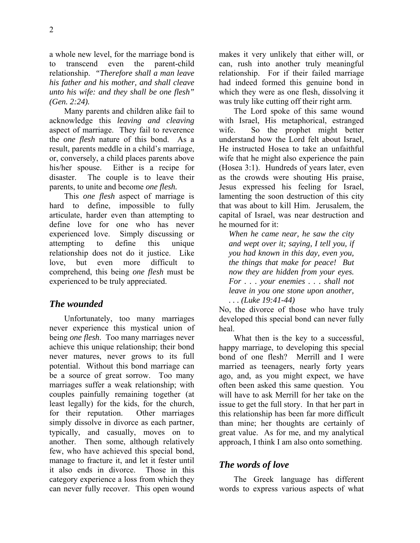a whole new level, for the marriage bond is to transcend even the parent-child relationship. *"Therefore shall a man leave his father and his mother, and shall cleave unto his wife: and they shall be one flesh" (Gen. 2:24).*

Many parents and children alike fail to acknowledge this *leaving and cleaving* aspect of marriage. They fail to reverence the *one flesh* nature of this bond. As a result, parents meddle in a child's marriage, or, conversely, a child places parents above his/her spouse. Either is a recipe for disaster. The couple is to leave their parents, to unite and become *one flesh.* 

This *one flesh* aspect of marriage is hard to define, impossible to fully articulate, harder even than attempting to define love for one who has never experienced love. Simply discussing or attempting to define this unique relationship does not do it justice. Like love, but even more difficult to comprehend, this being *one flesh* must be experienced to be truly appreciated.

### *The wounded*

Unfortunately, too many marriages never experience this mystical union of being *one flesh*. Too many marriages never achieve this unique relationship; their bond never matures, never grows to its full potential. Without this bond marriage can be a source of great sorrow. Too many marriages suffer a weak relationship; with couples painfully remaining together (at least legally) for the kids, for the church, for their reputation. Other marriages simply dissolve in divorce as each partner, typically, and casually, moves on to another. Then some, although relatively few, who have achieved this special bond, manage to fracture it, and let it fester until it also ends in divorce. Those in this category experience a loss from which they can never fully recover. This open wound makes it very unlikely that either will, or can, rush into another truly meaningful relationship. For if their failed marriage had indeed formed this genuine bond in which they were as one flesh, dissolving it was truly like cutting off their right arm.

The Lord spoke of this same wound with Israel, His metaphorical, estranged wife. So the prophet might better understand how the Lord felt about Israel, He instructed Hosea to take an unfaithful wife that he might also experience the pain (Hosea 3:1). Hundreds of years later, even as the crowds were shouting His praise, Jesus expressed his feeling for Israel, lamenting the soon destruction of this city that was about to kill Him. Jerusalem, the capital of Israel, was near destruction and he mourned for it:

*When he came near, he saw the city and wept over it; saying, I tell you, if you had known in this day, even you, the things that make for peace! But now they are hidden from your eyes. For . . . your enemies . . . shall not leave in you one stone upon another, . . . (Luke 19:41-44)*

No, the divorce of those who have truly developed this special bond can never fully heal.

What then is the key to a successful, happy marriage, to developing this special bond of one flesh? Merrill and I were married as teenagers, nearly forty years ago, and, as you might expect, we have often been asked this same question. You will have to ask Merrill for her take on the issue to get the full story. In that her part in this relationship has been far more difficult than mine; her thoughts are certainly of great value. As for me, and my analytical approach, I think I am also onto something.

### *The words of love*

The Greek language has different words to express various aspects of what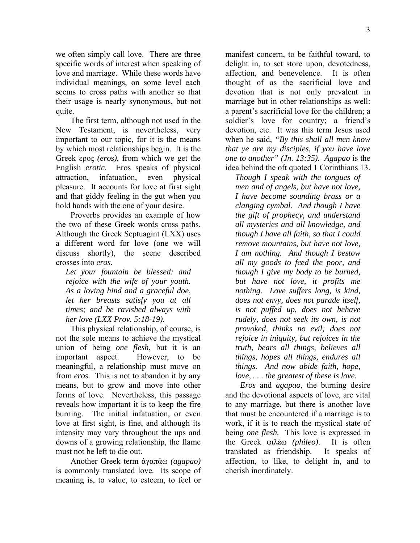we often simply call love. There are three specific words of interest when speaking of love and marriage. While these words have individual meanings, on some level each seems to cross paths with another so that their usage is nearly synonymous, but not quite.

The first term, although not used in the New Testament, is nevertheless, very important to our topic, for it is the means by which most relationships begin. It is the Greek ͗ερος *(eros)*, from which we get the English *erotic*. Eros speaks of physical attraction, infatuation, even physical pleasure. It accounts for love at first sight and that giddy feeling in the gut when you hold hands with the one of your desire.

Proverbs provides an example of how the two of these Greek words cross paths. Although the Greek Septuagint (LXX) uses a different word for love (one we will discuss shortly), the scene described crosses into *eros*.

*Let your fountain be blessed: and rejoice with the wife of your youth. As a loving hind and a graceful doe, let her breasts satisfy you at all times; and be ravished always with her love (LXX Prov. 5:18-19).*

This physical relationship, of course, is not the sole means to achieve the mystical union of being *one flesh*, but it is an important aspect. However, to be meaningful, a relationship must move on from *eros.* This is not to abandon it by any means, but to grow and move into other forms of love. Nevertheless, this passage reveals how important it is to keep the fire burning. The initial infatuation, or even love at first sight, is fine, and although its intensity may vary throughout the ups and downs of a growing relationship, the flame must not be left to die out.

Another Greek term ἀγαπἀω *(agapao)* is commonly translated love*.* Its scope of meaning is, to value, to esteem, to feel or

manifest concern, to be faithful toward, to delight in, to set store upon, devotedness, affection, and benevolence. It is often thought of as the sacrificial love and devotion that is not only prevalent in marriage but in other relationships as well: a parent's sacrificial love for the children; a soldier's love for country; a friend's devotion, etc. It was this term Jesus used when he said, *"By this shall all men know that ye are my disciples, if you have love one to another" (Jn. 13:35). Agapao* is the idea behind the oft quoted 1 Corinthians 13.

*Though I speak with the tongues of men and of angels, but have not love, I have become sounding brass or a clanging cymbal. And though I have the gift of prophecy, and understand all mysteries and all knowledge, and though I have all faith, so that I could remove mountains, but have not love, I am nothing. And though I bestow all my goods to feed the poor, and though I give my body to be burned, but have not love, it profits me nothing. Love suffers long, is kind, does not envy, does not parade itself, is not puffed up, does not behave rudely, does not seek its own, is not provoked, thinks no evil; does not rejoice in iniquity, but rejoices in the truth, bears all things, believes all things, hopes all things, endures all things. And now abide faith, hope, love, . . . the greatest of these is love.* 

*Eros* and *agapao*, the burning desire and the devotional aspects of love, are vital to any marriage, but there is another love that must be encountered if a marriage is to work, if it is to reach the mystical state of being *one flesh.* This love is expressed in the Greek φιλἐω *(phileo)*. It is often translated as friendship. It speaks of affection, to like, to delight in, and to cherish inordinately.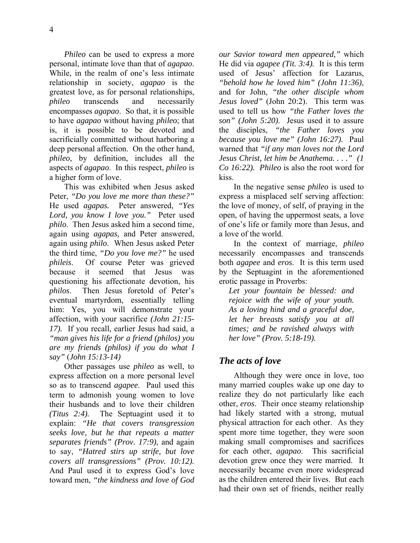*Phileo* can be used to express a more personal, intimate love than that of *agapao*. While, in the realm of one's less intimate relationship in society, *agapao* is the greatest love, as for personal relationships, *phileo* transcends and necessarily encompasses *agapao*. So that, it is possible to have *agapao* without having *phileo*; that is, it is possible to be devoted and sacrificially committed without harboring a deep personal affection. On the other hand, *phileo,* by definition, includes all the aspects of *agapao*. In this respect, *phileo* is

a higher form of love. This was exhibited when Jesus asked Peter, *"Do you love me more than these?"* He used *agapas.* Peter answered, *"Yes Lord, you know I love you."* Peter used *philo*. Then Jesus asked him a second time, again using *agapas,* and Peter answered, again using *philo*. When Jesus asked Peter the third time, *"Do you love me?"* he used *phileis*. Of course Peter was grieved because it seemed that Jesus was questioning his affectionate devotion, his *philos*. Then Jesus foretold of Peter's eventual martyrdom, essentially telling him: Yes, you will demonstrate your affection, with your sacrifice *(John 21:15- 17).* If you recall, earlier Jesus had said, a *"man gives his life for a friend (philos) you are my friends (philos) if you do what I say"* (*John 15:13-14)* 

Other passages use *phileo* as well, to express affection on a more personal level so as to transcend *agapee*. Paul used this term to admonish young women to love their husbands and to love their children *(Titus 2:4).* The Septuagint used it to explain: *"He that covers transgression seeks love, but he that repeats a matter separates friends" (Prov. 17:9)*, and again to say, *"Hatred stirs up strife, but love covers all transgressions" (Prov. 10:12).* And Paul used it to express God's love toward men, *"the kindness and love of God*  *our Savior toward men appeared,"* which He did via *agapee (Tit. 3:4).* It is this term used of Jesus' affection for Lazarus, *"behold how he loved him" (John 11:36)*, and for John, *"the other disciple whom Jesus loved"* (John 20:2). This term was used to tell us how *"the Father loves the son" (John 5:20)*. Jesus used it to assure the disciples, *"the Father loves you because you love me" (John 16:27).* Paul warned that *"if any man loves not the Lord Jesus Christ, let him be Anathema. . . ." (1 Co 16:22). Phileo* is also the root word for kiss.

In the negative sense *phileo* is used to express a misplaced self serving affection: the love of money, of self, of praying in the open, of having the uppermost seats, a love of one's life or family more than Jesus, and a love of the world.

In the context of marriage, *phileo* necessarily encompasses and transcends both *agapee* and *eros*. It is this term used by the Septuagint in the aforementioned erotic passage in Proverbs:

*Let your fountain be blessed: and rejoice with the wife of your youth. As a loving hind and a graceful doe, let her breasts satisfy you at all times; and be ravished always with her love" (Prov. 5:18-19).* 

## *The acts of love*

Although they were once in love, too many married couples wake up one day to realize they do not particularly like each other, *eros*. Their once steamy relationship had likely started with a strong, mutual physical attraction for each other. As they spent more time together, they were soon making small compromises and sacrifices for each other, *agapao*. This sacrificial devotion grew once they were married. It necessarily became even more widespread as the children entered their lives. But each had their own set of friends, neither really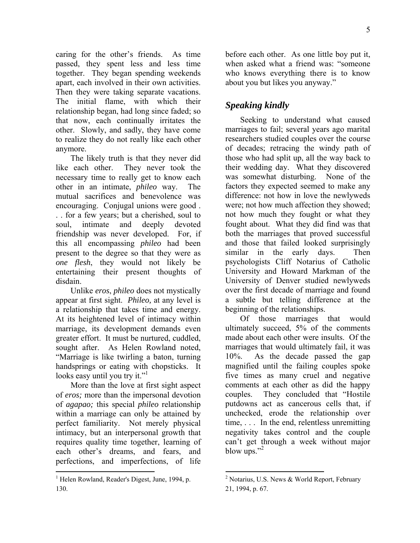caring for the other's friends. As time passed, they spent less and less time together. They began spending weekends apart, each involved in their own activities. Then they were taking separate vacations. The initial flame, with which their relationship began, had long since faded; so that now, each continually irritates the other. Slowly, and sadly, they have come to realize they do not really like each other anymore.

The likely truth is that they never did like each other. They never took the necessary time to really get to know each other in an intimate, *phileo* way. The mutual sacrifices and benevolence was encouraging. Conjugal unions were good . . . for a few years; but a cherished, soul to soul, intimate and deeply devoted friendship was never developed. For, if this all encompassing *phileo* had been present to the degree so that they were as *one flesh*, they would not likely be entertaining their present thoughts of disdain.

Unlike *eros*, *phileo* does not mystically appear at first sight. *Phileo,* at any level is a relationship that takes time and energy. At its heightened level of intimacy within marriage, its development demands even greater effort. It must be nurtured, cuddled, sought after. As Helen Rowland noted, "Marriage is like twirling a baton, turning handsprings or eating with chopsticks. It looks easy until you try it."<sup>1</sup>

More than the love at first sight aspect of *eros;* more than the impersonal devotion of *agapao;* this special *phileo* relationship within a marriage can only be attained by perfect familiarity. Not merely physical intimacy, but an interpersonal growth that requires quality time together, learning of each other's dreams, and fears, and perfections, and imperfections, of life

1

before each other. As one little boy put it, when asked what a friend was: "someone who knows everything there is to know about you but likes you anyway."

## *Speaking kindly*

Seeking to understand what caused marriages to fail; several years ago marital researchers studied couples over the course of decades; retracing the windy path of those who had split up, all the way back to their wedding day. What they discovered was somewhat disturbing. None of the factors they expected seemed to make any difference: not how in love the newlyweds were; not how much affection they showed; not how much they fought or what they fought about. What they did find was that both the marriages that proved successful and those that failed looked surprisingly similar in the early days. Then psychologists Cliff Notarius of Catholic University and Howard Markman of the University of Denver studied newlyweds over the first decade of marriage and found a subtle but telling difference at the beginning of the relationships.

Of those marriages that would ultimately succeed, 5% of the comments made about each other were insults. Of the marriages that would ultimately fail, it was 10%. As the decade passed the gap magnified until the failing couples spoke five times as many cruel and negative comments at each other as did the happy couples. They concluded that "Hostile putdowns act as cancerous cells that, if unchecked, erode the relationship over time, . . . In the end, relentless unremitting negativity takes control and the couple can't get through a week without major blow ups." $^2$ 

 $\overline{a}$ 

<sup>&</sup>lt;sup>1</sup> Helen Rowland, Reader's Digest, June, 1994, p. 130.

<sup>&</sup>lt;sup>2</sup> Notarius, U.S. News & World Report, February 21, 1994, p. 67.